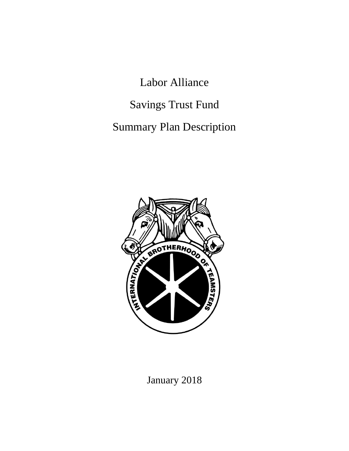Labor Alliance Savings Trust Fund Summary Plan Description



January 2018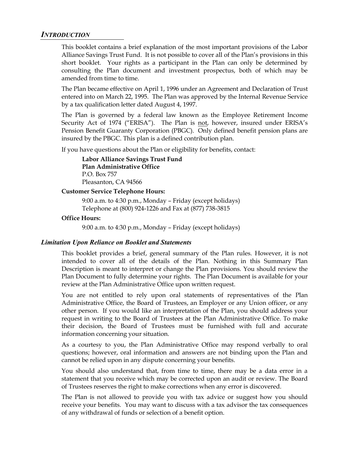# *INTRODUCTION*

This booklet contains a brief explanation of the most important provisions of the Labor Alliance Savings Trust Fund. It is not possible to cover all of the Plan's provisions in this short booklet. Your rights as a participant in the Plan can only be determined by consulting the Plan document and investment prospectus, both of which may be amended from time to time.

The Plan became effective on April 1, 1996 under an Agreement and Declaration of Trust entered into on March 22, 1995. The Plan was approved by the Internal Revenue Service by a tax qualification letter dated August 4, 1997.

The Plan is governed by a federal law known as the Employee Retirement Income Security Act of 1974 ("ERISA"). The Plan is not, however, insured under ERISA's Pension Benefit Guaranty Corporation (PBGC). Only defined benefit pension plans are insured by the PBGC. This plan is a defined contribution plan.

If you have questions about the Plan or eligibility for benefits, contact:

**Labor Alliance Savings Trust Fund Plan Administrative Office** P.O. Box 757 Pleasanton, CA 94566

## **Customer Service Telephone Hours:**

9:00 a.m. to 4:30 p.m., Monday – Friday (except holidays) Telephone at (800) 924-1226 and Fax at (877) 738-3815

## **Office Hours:**

9:00 a.m. to 4:30 p.m., Monday – Friday (except holidays)

# *Limitation Upon Reliance on Booklet and Statements*

This booklet provides a brief, general summary of the Plan rules. However, it is not intended to cover all of the details of the Plan. Nothing in this Summary Plan Description is meant to interpret or change the Plan provisions. You should review the Plan Document to fully determine your rights. The Plan Document is available for your review at the Plan Administrative Office upon written request.

You are not entitled to rely upon oral statements of representatives of the Plan Administrative Office, the Board of Trustees, an Employer or any Union officer, or any other person. If you would like an interpretation of the Plan, you should address your request in writing to the Board of Trustees at the Plan Administrative Office. To make their decision, the Board of Trustees must be furnished with full and accurate information concerning your situation.

As a courtesy to you, the Plan Administrative Office may respond verbally to oral questions; however, oral information and answers are not binding upon the Plan and cannot be relied upon in any dispute concerning your benefits.

You should also understand that, from time to time, there may be a data error in a statement that you receive which may be corrected upon an audit or review. The Board of Trustees reserves the right to make corrections when any error is discovered.

The Plan is not allowed to provide you with tax advice or suggest how you should receive your benefits. You may want to discuss with a tax advisor the tax consequences of any withdrawal of funds or selection of a benefit option.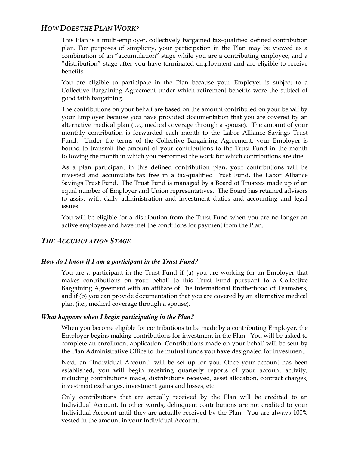# *HOW DOES THEPLAN WORK?*

This Plan is a multi-employer, collectively bargained tax-qualified defined contribution plan. For purposes of simplicity, your participation in the Plan may be viewed as a combination of an "accumulation" stage while you are a contributing employee, and a "distribution" stage after you have terminated employment and are eligible to receive benefits.

You are eligible to participate in the Plan because your Employer is subject to a Collective Bargaining Agreement under which retirement benefits were the subject of good faith bargaining.

The contributions on your behalf are based on the amount contributed on your behalf by your Employer because you have provided documentation that you are covered by an alternative medical plan (i.e., medical coverage through a spouse). The amount of your monthly contribution is forwarded each month to the Labor Alliance Savings Trust Fund. Under the terms of the Collective Bargaining Agreement, your Employer is bound to transmit the amount of your contributions to the Trust Fund in the month following the month in which you performed the work for which contributions are due.

As a plan participant in this defined contribution plan, your contributions will be invested and accumulate tax free in a tax-qualified Trust Fund, the Labor Alliance Savings Trust Fund. The Trust Fund is managed by a Board of Trustees made up of an equal number of Employer and Union representatives. The Board has retained advisors to assist with daily administration and investment duties and accounting and legal issues.

You will be eligible for a distribution from the Trust Fund when you are no longer an active employee and have met the conditions for payment from the Plan.

# *THE ACCUMULATION STAGE*

# *How do I know if I am a participant in the Trust Fund?*

You are a participant in the Trust Fund if (a) you are working for an Employer that makes contributions on your behalf to this Trust Fund pursuant to a Collective Bargaining Agreement with an affiliate of The International Brotherhood of Teamsters, and if (b) you can provide documentation that you are covered by an alternative medical plan (i.e., medical coverage through a spouse).

# *What happens when I begin participating in the Plan?*

When you become eligible for contributions to be made by a contributing Employer, the Employer begins making contributions for investment in the Plan. You will be asked to complete an enrollment application. Contributions made on your behalf will be sent by the Plan Administrative Office to the mutual funds you have designated for investment.

Next, an "Individual Account" will be set up for you. Once your account has been established, you will begin receiving quarterly reports of your account activity, including contributions made, distributions received, asset allocation, contract charges, investment exchanges, investment gains and losses, etc.

Only contributions that are actually received by the Plan will be credited to an Individual Account. In other words, delinquent contributions are not credited to your Individual Account until they are actually received by the Plan. You are always 100% vested in the amount in your Individual Account.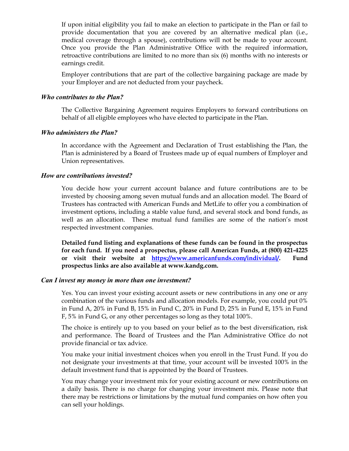If upon initial eligibility you fail to make an election to participate in the Plan or fail to provide documentation that you are covered by an alternative medical plan (i.e., medical coverage through a spouse), contributions will not be made to your account. Once you provide the Plan Administrative Office with the required information, retroactive contributions are limited to no more than six (6) months with no interests or earnings credit.

Employer contributions that are part of the collective bargaining package are made by your Employer and are not deducted from your paycheck.

## *Who contributes to the Plan?*

The Collective Bargaining Agreement requires Employers to forward contributions on behalf of all eligible employees who have elected to participate in the Plan.

# *Who administers the Plan?*

In accordance with the Agreement and Declaration of Trust establishing the Plan, the Plan is administered by a Board of Trustees made up of equal numbers of Employer and Union representatives.

## *How are contributions invested?*

You decide how your current account balance and future contributions are to be invested by choosing among seven mutual funds and an allocation model. The Board of Trustees has contracted with American Funds and MetLife to offer you a combination of investment options, including a stable value fund, and several stock and bond funds, as well as an allocation. These mutual fund families are some of the nation's most respected investment companies.

**Detailed fund listing and explanations of these funds can be found in the prospectus for each fund. If you need a prospectus, please call American Funds, at (800) 421-4225 or visit their website at [https://www.americanfunds.com/individual/.](https://www.americanfunds.com/individual/) Fund prospectus links are also available at www.kandg.com.**

#### *Can I invest my money in more than one investment?*

Yes. You can invest your existing account assets or new contributions in any one or any combination of the various funds and allocation models. For example, you could put 0% in Fund A, 20% in Fund B, 15% in Fund C, 20% in Fund D, 25% in Fund E, 15% in Fund F, 5% in Fund G, or any other percentages so long as they total 100%.

The choice is entirely up to you based on your belief as to the best diversification, risk and performance. The Board of Trustees and the Plan Administrative Office do not provide financial or tax advice.

You make your initial investment choices when you enroll in the Trust Fund. If you do not designate your investments at that time, your account will be invested 100% in the default investment fund that is appointed by the Board of Trustees.

You may change your investment mix for your existing account or new contributions on a daily basis. There is no charge for changing your investment mix. Please note that there may be restrictions or limitations by the mutual fund companies on how often you can sell your holdings.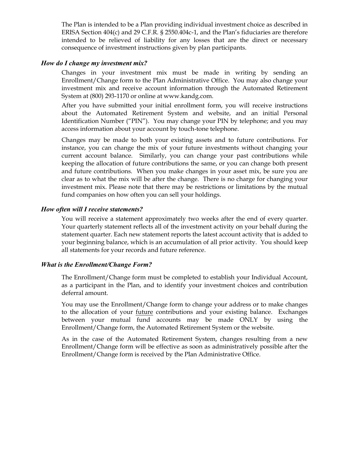The Plan is intended to be a Plan providing individual investment choice as described in ERISA Section 404(c) and 29 C.F.R. § 2550.404c-1, and the Plan's fiduciaries are therefore intended to be relieved of liability for any losses that are the direct or necessary consequence of investment instructions given by plan participants.

### *How do I change my investment mix?*

Changes in your investment mix must be made in writing by sending an Enrollment/Change form to the Plan Administrative Office. You may also change your investment mix and receive account information through the Automated Retirement System at (800) 293-1170 or online at www.kandg.com.

After you have submitted your initial enrollment form, you will receive instructions about the Automated Retirement System and website, and an initial Personal Identification Number ("PIN"). You may change your PIN by telephone; and you may access information about your account by touch-tone telephone.

Changes may be made to both your existing assets and to future contributions. For instance, you can change the mix of your future investments without changing your current account balance. Similarly, you can change your past contributions while keeping the allocation of future contributions the same, or you can change both present and future contributions. When you make changes in your asset mix, be sure you are clear as to what the mix will be after the change. There is no charge for changing your investment mix. Please note that there may be restrictions or limitations by the mutual fund companies on how often you can sell your holdings.

# *How often will I receive statements?*

You will receive a statement approximately two weeks after the end of every quarter. Your quarterly statement reflects all of the investment activity on your behalf during the statement quarter. Each new statement reports the latest account activity that is added to your beginning balance, which is an accumulation of all prior activity. You should keep all statements for your records and future reference.

#### *What is the Enrollment/Change Form?*

The Enrollment/Change form must be completed to establish your Individual Account, as a participant in the Plan, and to identify your investment choices and contribution deferral amount.

You may use the Enrollment/Change form to change your address or to make changes to the allocation of your future contributions and your existing balance. Exchanges between your mutual fund accounts may be made ONLY by using the Enrollment/Change form, the Automated Retirement System or the website.

As in the case of the Automated Retirement System, changes resulting from a new Enrollment/Change form will be effective as soon as administratively possible after the Enrollment/Change form is received by the Plan Administrative Office.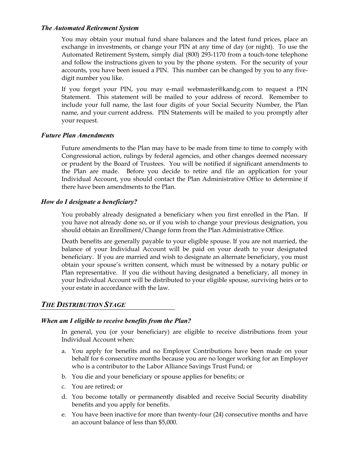## *The Automated Retirement System*

You may obtain your mutual fund share balances and the latest fund prices, place an exchange in investments, or change your PIN at any time of day (or night). To use the Automated Retirement System, simply dial (800) 293-1170 from a touch-tone telephone and follow the instructions given to you by the phone system. For the security of your accounts, you have been issued a PIN. This number can be changed by you to any fivedigit number you like.

If you forget your PIN, you may e-mail webmaster@kandg.com to request a PIN Statement. This statement will be mailed to your address of record. Remember to include your full name, the last four digits of your Social Security Number, the Plan name, and your current address. PIN Statements will be mailed to you promptly after your request.

## *Future Plan Amendments*

Future amendments to the Plan may have to be made from time to time to comply with Congressional action, rulings by federal agencies, and other changes deemed necessary or prudent by the Board of Trustees. You will be notified if significant amendments to the Plan are made. Before you decide to retire and file an application for your Individual Account, you should contact the Plan Administrative Office to determine if there have been amendments to the Plan.

## *How do I designate a beneficiary?*

You probably already designated a beneficiary when you first enrolled in the Plan. If you have not already done so, or if you wish to change your previous designation, you should obtain an Enrollment/Change form from the Plan Administrative Office.

Death benefits are generally payable to your eligible spouse. If you are not married, the balance of your Individual Account will be paid on your death to your designated beneficiary. If you are married and wish to designate an alternate beneficiary, you must obtain your spouse's written consent, which must be witnessed by a notary public or Plan representative. If you die without having designated a beneficiary, all money in your Individual Account will be distributed to your eligible spouse, surviving heirs or to your estate in accordance with the law.

# *THE DISTRIBUTION STAGE*

# *When am I eligible to receive benefits from the Plan?*

In general, you (or your beneficiary) are eligible to receive distributions from your Individual Account when:

- a. You apply for benefits and no Employer Contributions have been made on your behalf for 6 consecutive months because you are no longer working for an Employer who is a contributor to the Labor Alliance Savings Trust Fund; or
- b. You die and your beneficiary or spouse applies for benefits; or
- c. You are retired; or
- d. You become totally or permanently disabled and receive Social Security disability benefits and you apply for benefits.
- e. You have been inactive for more than twenty-four (24) consecutive months and have an account balance of less than \$5,000.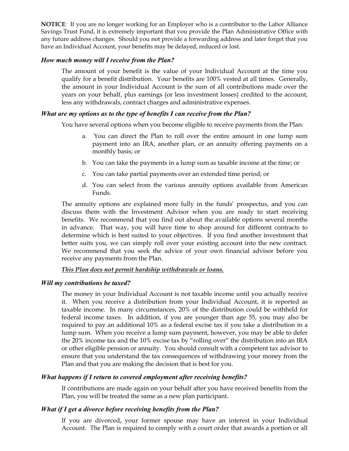**NOTICE**: If you are no longer working for an Employer who is a contributor to the Labor Alliance Savings Trust Fund, it is extremely important that you provide the Plan Administrative Office with any future address changes. Should you not provide a forwarding address and later forget that you have an Individual Account, your benefits may be delayed, reduced or lost.

# *How much money will I receive from the Plan?*

The amount of your benefit is the value of your Individual Account at the time you qualify for a benefit distribution. Your benefits are 100% vested at all times. Generally, the amount in your Individual Account is the sum of all contributions made over the years on your behalf, plus earnings (or less investment losses) credited to the account, less any withdrawals, contract charges and administrative expenses.

# *What are my options as to the type of benefits I can receive from the Plan?*

You have several options when you become eligible to receive payments from the Plan:

- a. You can direct the Plan to roll over the entire amount in one lump sum payment into an IRA, another plan, or an annuity offering payments on a monthly basis; or
- b. You can take the payments in a lump sum as taxable income at the time; or
- c. You can take partial payments over an extended time period; or
- d. You can select from the various annuity options available from American Funds.

The annuity options are explained more fully in the funds' prospectus, and you can discuss them with the Investment Advisor when you are ready to start receiving benefits. We recommend that you find out about the available options several months in advance. That way, you will have time to shop around for different contracts to determine which is best suited to your objectives. If you find another investment that better suits you, we can simply roll over your existing account into the new contract. We recommend that you seek the advice of your own financial advisor before you receive any payments from the Plan.

# *This Plan does not permit hardship withdrawals or loans.*

# *Will my contributions be taxed?*

The money in your Individual Account is not taxable income until you actually receive it. When you receive a distribution from your Individual Account, it is reported as taxable income. In many circumstances, 20% of the distribution could be withheld for federal income taxes. In addition, if you are younger than age 55, you may also be required to pay an additional 10% as a federal excise tax if you take a distribution in a lump sum. When you receive a lump sum payment, however, you may be able to defer the 20% income tax and the 10% excise tax by "rolling over" the distribution into an IRA or other eligible pension or annuity. You should consult with a competent tax advisor to ensure that you understand the tax consequences of withdrawing your money from the Plan and that you are making the decision that is best for you.

# *What happens if I return to covered employment after receiving benefits?*

If contributions are made again on your behalf after you have received benefits from the Plan, you will be treated the same as a new plan participant.

# *What if I get a divorce before receiving benefits from the Plan?*

If you are divorced, your former spouse may have an interest in your Individual Account. The Plan is required to comply with a court order that awards a portion or all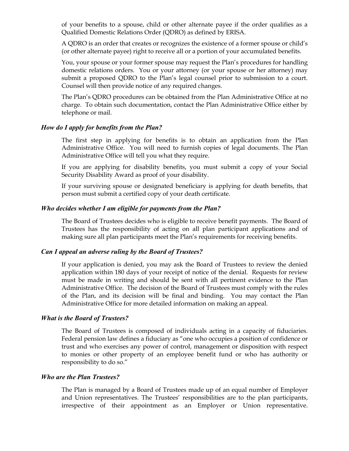of your benefits to a spouse, child or other alternate payee if the order qualifies as a Qualified Domestic Relations Order (QDRO) as defined by ERISA.

A QDRO is an order that creates or recognizes the existence of a former spouse or child's (or other alternate payee) right to receive all or a portion of your accumulated benefits.

You, your spouse or your former spouse may request the Plan's procedures for handling domestic relations orders. You or your attorney (or your spouse or her attorney) may submit a proposed QDRO to the Plan's legal counsel prior to submission to a court. Counsel will then provide notice of any required changes.

The Plan's QDRO procedures can be obtained from the Plan Administrative Office at no charge. To obtain such documentation, contact the Plan Administrative Office either by telephone or mail.

#### *How do I apply for benefits from the Plan?*

The first step in applying for benefits is to obtain an application from the Plan Administrative Office. You will need to furnish copies of legal documents. The Plan Administrative Office will tell you what they require.

If you are applying for disability benefits, you must submit a copy of your Social Security Disability Award as proof of your disability.

If your surviving spouse or designated beneficiary is applying for death benefits, that person must submit a certified copy of your death certificate.

#### *Who decides whether I am eligible for payments from the Plan?*

The Board of Trustees decides who is eligible to receive benefit payments. The Board of Trustees has the responsibility of acting on all plan participant applications and of making sure all plan participants meet the Plan's requirements for receiving benefits.

### *Can I appeal an adverse ruling by the Board of Trustees?*

If your application is denied, you may ask the Board of Trustees to review the denied application within 180 days of your receipt of notice of the denial. Requests for review must be made in writing and should be sent with all pertinent evidence to the Plan Administrative Office. The decision of the Board of Trustees must comply with the rules of the Plan, and its decision will be final and binding. You may contact the Plan Administrative Office for more detailed information on making an appeal.

#### *What is the Board of Trustees?*

The Board of Trustees is composed of individuals acting in a capacity of fiduciaries. Federal pension law defines a fiduciary as "one who occupies a position of confidence or trust and who exercises any power of control, management or disposition with respect to monies or other property of an employee benefit fund or who has authority or responsibility to do so."

# *Who are the Plan Trustees?*

The Plan is managed by a Board of Trustees made up of an equal number of Employer and Union representatives. The Trustees' responsibilities are to the plan participants, irrespective of their appointment as an Employer or Union representative.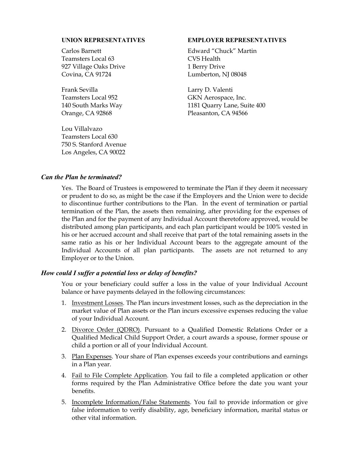Carlos Barnett Teamsters Local 63 927 Village Oaks Drive Covina, CA 91724

Frank Sevilla Teamsters Local 952 140 South Marks Way Orange, CA 92868

Lou Villalvazo Teamsters Local 630 750 S. Stanford Avenue Los Angeles, CA 90022

#### **UNION REPRESENTATIVES EMPLOYER REPRESENTATIVES**

Edward "Chuck" Martin CVS Health 1 Berry Drive Lumberton, NJ 08048

Larry D. Valenti GKN Aerospace, Inc. 1181 Quarry Lane, Suite 400 Pleasanton, CA 94566

# *Can the Plan be terminated?*

Yes. The Board of Trustees is empowered to terminate the Plan if they deem it necessary or prudent to do so, as might be the case if the Employers and the Union were to decide to discontinue further contributions to the Plan. In the event of termination or partial termination of the Plan, the assets then remaining, after providing for the expenses of the Plan and for the payment of any Individual Account theretofore approved, would be distributed among plan participants, and each plan participant would be 100% vested in his or her accrued account and shall receive that part of the total remaining assets in the same ratio as his or her Individual Account bears to the aggregate amount of the Individual Accounts of all plan participants. The assets are not returned to any Employer or to the Union.

#### *How could I suffer a potential loss or delay of benefits?*

You or your beneficiary could suffer a loss in the value of your Individual Account balance or have payments delayed in the following circumstances:

- 1. Investment Losses. The Plan incurs investment losses, such as the depreciation in the market value of Plan assets or the Plan incurs excessive expenses reducing the value of your Individual Account.
- 2. Divorce Order (QDRO). Pursuant to a Qualified Domestic Relations Order or a Qualified Medical Child Support Order, a court awards a spouse, former spouse or child a portion or all of your Individual Account.
- 3. Plan Expenses. Your share of Plan expenses exceeds your contributions and earnings in a Plan year.
- 4. Fail to File Complete Application. You fail to file a completed application or other forms required by the Plan Administrative Office before the date you want your benefits.
- 5. Incomplete Information/False Statements. You fail to provide information or give false information to verify disability, age, beneficiary information, marital status or other vital information.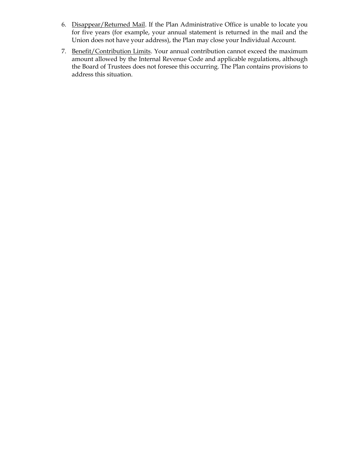- 6. Disappear/Returned Mail. If the Plan Administrative Office is unable to locate you for five years (for example, your annual statement is returned in the mail and the Union does not have your address), the Plan may close your Individual Account.
- 7. Benefit/Contribution Limits. Your annual contribution cannot exceed the maximum amount allowed by the Internal Revenue Code and applicable regulations, although the Board of Trustees does not foresee this occurring. The Plan contains provisions to address this situation.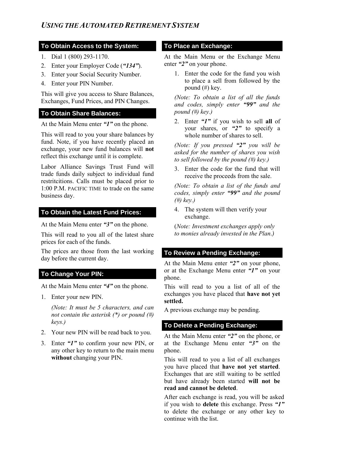# **To Obtain Access to the System:**

- 1. Dial 1 (800) 293-1170.
- 2. Enter your Employer Code (*"134"*).
- 3. Enter your Social Security Number.
- 4. Enter your PIN Number.

This will give you access to Share Balances, Exchanges, Fund Prices, and PIN Changes.

## **To Obtain Share Balances:**

At the Main Menu enter *"1"* on the phone.

This will read to you your share balances by fund. Note, if you have recently placed an exchange, your new fund balances will **not** reflect this exchange until it is complete.

Labor Alliance Savings Trust Fund will trade funds daily subject to individual fund restritcitions. Calls must be placed prior to 1:00 P.M. PACIFIC TIME to trade on the same business day.

# **To Obtain the Latest Fund Prices:**

At the Main Menu enter *"3"* on the phone.

This will read to you all of the latest share prices for each of the funds.

The prices are those from the last working day before the current day.

# **To Change Your PIN:**

At the Main Menu enter *"4"* on the phone.

1. Enter your new PIN.

*(Note: It must be 5 characters, and can not contain the asterisk (\*) or pound (#) keys.)*

- 2. Your new PIN will be read back to you.
- 3. Enter *"1"* to confirm your new PIN, or any other key to return to the main menu **without** changing your PIN.

# **To Place an Exchange:**

At the Main Menu or the Exchange Menu enter *"2"* on your phone.

1. Enter the code for the fund you wish to place a sell from followed by the pound (#) key.

*(Note: To obtain a list of all the funds and codes, simply enter "99" and the pound (#) key.)*

2. Enter *"1"* if you wish to sell **all** of your shares, or *"2"* to specify a whole number of shares to sell.

*(Note: If you pressed "2" you will be asked for the number of shares you wish to sell followed by the pound (#) key.)*

3. Enter the code for the fund that will receive the proceeds from the sale.

*(Note: To obtain a list of the funds and codes, simply enter "99" and the pound (#) key.)*

4. The system will then verify your exchange.

(*Note: Investment exchanges apply only to monies already invested in the Plan.)*

# **To Review a Pending Exchange:**

At the Main Menu enter *"2"* on your phone, or at the Exchange Menu enter *"1"* on your phone.

This will read to you a list of all of the exchanges you have placed that **have not yet settled.**

A previous exchange may be pending.

# **To Delete a Pending Exchange:**

At the Main Menu enter *"2"* on the phone, or at the Exchange Menu enter *"3"* on the phone.

This will read to you a list of all exchanges you have placed that **have not yet started**. Exchanges that are still waiting to be settled but have already been started **will not be read and cannot be deleted**.

After each exchange is read, you will be asked if you wish to **delete** this exchange. Press *"1"* to delete the exchange or any other key to continue with the list.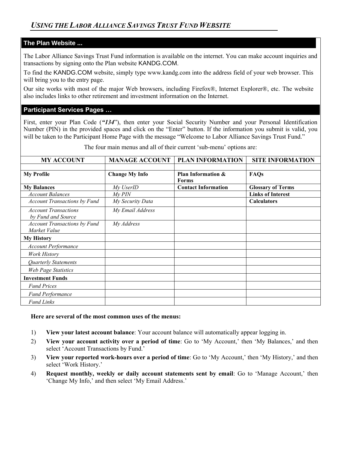# **The Plan Website ...**

The Labor Alliance Savings Trust Fund information is available on the internet. You can make account inquiries and transactions by signing onto the Plan website KANDG.COM.

To find the KANDG.COM website, simply type www.kandg.com into the address field of your web browser. This will bring you to the entry page.

Our site works with most of the major Web browsers, including Firefox®, Internet Explorer®, etc. The website also includes links to other retirement and investment information on the Internet.

# **Participant Services Pages …**

First, enter your Plan Code (*"134*"), then enter your Social Security Number and your Personal Identification Number (PIN) in the provided spaces and click on the "Enter" button. If the information you submit is valid, you will be taken to the Participant Home Page with the message "Welcome to Labor Alliance Savings Trust Fund."

| <b>MY ACCOUNT</b>                                   | <b>MANAGE ACCOUNT</b> | <b>PLAN INFORMATION</b>            | <b>SITE INFORMATION</b>  |
|-----------------------------------------------------|-----------------------|------------------------------------|--------------------------|
|                                                     |                       |                                    |                          |
| <b>My Profile</b>                                   | <b>Change My Info</b> | Plan Information &<br><b>Forms</b> | FAQs                     |
| <b>My Balances</b>                                  | My UserID             | <b>Contact Information</b>         | <b>Glossary of Terms</b> |
| <b>Account Balances</b>                             | My PIN                |                                    | <b>Links of Interest</b> |
| <b>Account Transactions by Fund</b>                 | My Security Data      |                                    | <b>Calculators</b>       |
| <b>Account Transactions</b><br>by Fund and Source   | My Email Address      |                                    |                          |
| <b>Account Transactions by Fund</b><br>Market Value | My Address            |                                    |                          |
| <b>My History</b>                                   |                       |                                    |                          |
| <b>Account Performance</b>                          |                       |                                    |                          |
| Work History                                        |                       |                                    |                          |
| Quarterly Statements                                |                       |                                    |                          |
| <b>Web Page Statistics</b>                          |                       |                                    |                          |
| <b>Investment Funds</b>                             |                       |                                    |                          |
| <b>Fund Prices</b>                                  |                       |                                    |                          |
| <b>Fund Performance</b>                             |                       |                                    |                          |
| <b>Fund Links</b>                                   |                       |                                    |                          |

The four main menus and all of their current 'sub-menu' options are:

#### **Here are several of the most common uses of the menus:**

- 1) **View your latest account balance**: Your account balance will automatically appear logging in.
- 2) **View your account activity over a period of time**: Go to 'My Account,' then 'My Balances,' and then select 'Account Transactions by Fund.'
- 3) **View your reported work-hours over a period of time**: Go to 'My Account,' then 'My History,' and then select 'Work History.'
- 4) **Request monthly, weekly or daily account statements sent by email**: Go to 'Manage Account,' then 'Change My Info,' and then select 'My Email Address.'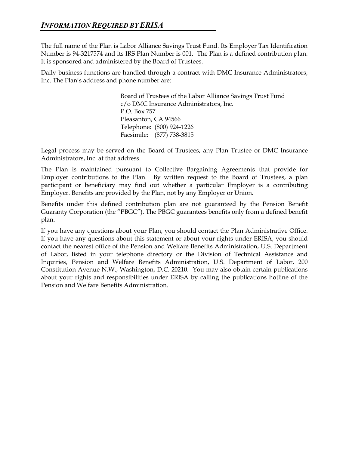The full name of the Plan is Labor Alliance Savings Trust Fund. Its Employer Tax Identification Number is 94-3217574 and its IRS Plan Number is 001. The Plan is a defined contribution plan. It is sponsored and administered by the Board of Trustees.

Daily business functions are handled through a contract with DMC Insurance Administrators, Inc. The Plan's address and phone number are:

> Board of Trustees of the Labor Alliance Savings Trust Fund c/o DMC Insurance Administrators, Inc. P.O. Box 757 Pleasanton, CA 94566 Telephone: (800) 924-1226 Facsimile: (877) 738-3815

Legal process may be served on the Board of Trustees, any Plan Trustee or DMC Insurance Administrators, Inc. at that address.

The Plan is maintained pursuant to Collective Bargaining Agreements that provide for Employer contributions to the Plan. By written request to the Board of Trustees, a plan participant or beneficiary may find out whether a particular Employer is a contributing Employer. Benefits are provided by the Plan, not by any Employer or Union.

Benefits under this defined contribution plan are not guaranteed by the Pension Benefit Guaranty Corporation (the "PBGC"). The PBGC guarantees benefits only from a defined benefit plan.

If you have any questions about your Plan, you should contact the Plan Administrative Office. If you have any questions about this statement or about your rights under ERISA, you should contact the nearest office of the Pension and Welfare Benefits Administration, U.S. Department of Labor, listed in your telephone directory or the Division of Technical Assistance and Inquiries, Pension and Welfare Benefits Administration, U.S. Department of Labor, 200 Constitution Avenue N.W., Washington, D.C. 20210. You may also obtain certain publications about your rights and responsibilities under ERISA by calling the publications hotline of the Pension and Welfare Benefits Administration.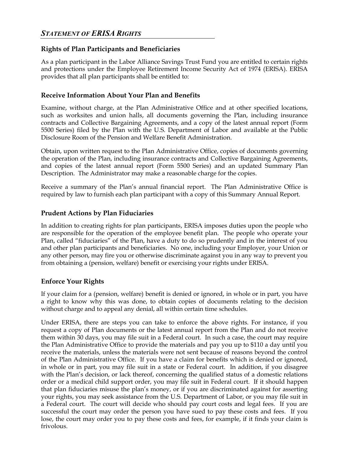# **Rights of Plan Participants and Beneficiaries**

As a plan participant in the Labor Alliance Savings Trust Fund you are entitled to certain rights and protections under the Employee Retirement Income Security Act of 1974 (ERISA). ERISA provides that all plan participants shall be entitled to:

# **Receive Information About Your Plan and Benefits**

Examine, without charge, at the Plan Administrative Office and at other specified locations, such as worksites and union halls, all documents governing the Plan, including insurance contracts and Collective Bargaining Agreements, and a copy of the latest annual report (Form 5500 Series) filed by the Plan with the U.S. Department of Labor and available at the Public Disclosure Room of the Pension and Welfare Benefit Administration.

Obtain, upon written request to the Plan Administrative Office, copies of documents governing the operation of the Plan, including insurance contracts and Collective Bargaining Agreements, and copies of the latest annual report (Form 5500 Series) and an updated Summary Plan Description. The Administrator may make a reasonable charge for the copies.

Receive a summary of the Plan's annual financial report. The Plan Administrative Office is required by law to furnish each plan participant with a copy of this Summary Annual Report.

# **Prudent Actions by Plan Fiduciaries**

In addition to creating rights for plan participants, ERISA imposes duties upon the people who are responsible for the operation of the employee benefit plan. The people who operate your Plan, called "fiduciaries" of the Plan, have a duty to do so prudently and in the interest of you and other plan participants and beneficiaries. No one, including your Employer, your Union or any other person, may fire you or otherwise discriminate against you in any way to prevent you from obtaining a (pension, welfare) benefit or exercising your rights under ERISA.

# **Enforce Your Rights**

If your claim for a (pension, welfare) benefit is denied or ignored, in whole or in part, you have a right to know why this was done, to obtain copies of documents relating to the decision without charge and to appeal any denial, all within certain time schedules.

Under ERISA, there are steps you can take to enforce the above rights. For instance, if you request a copy of Plan documents or the latest annual report from the Plan and do not receive them within 30 days, you may file suit in a Federal court. In such a case, the court may require the Plan Administrative Office to provide the materials and pay you up to \$110 a day until you receive the materials, unless the materials were not sent because of reasons beyond the control of the Plan Administrative Office. If you have a claim for benefits which is denied or ignored, in whole or in part, you may file suit in a state or Federal court. In addition, if you disagree with the Plan's decision, or lack thereof, concerning the qualified status of a domestic relations order or a medical child support order, you may file suit in Federal court. If it should happen that plan fiduciaries misuse the plan's money, or if you are discriminated against for asserting your rights, you may seek assistance from the U.S. Department of Labor, or you may file suit in a Federal court. The court will decide who should pay court costs and legal fees. If you are successful the court may order the person you have sued to pay these costs and fees. If you lose, the court may order you to pay these costs and fees, for example, if it finds your claim is frivolous.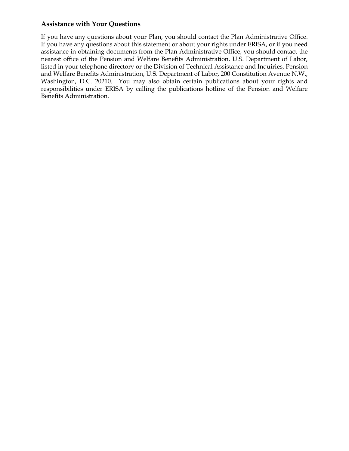# **Assistance with Your Questions**

If you have any questions about your Plan, you should contact the Plan Administrative Office. If you have any questions about this statement or about your rights under ERISA, or if you need assistance in obtaining documents from the Plan Administrative Office, you should contact the nearest office of the Pension and Welfare Benefits Administration, U.S. Department of Labor, listed in your telephone directory or the Division of Technical Assistance and Inquiries, Pension and Welfare Benefits Administration, U.S. Department of Labor, 200 Constitution Avenue N.W., Washington, D.C. 20210. You may also obtain certain publications about your rights and responsibilities under ERISA by calling the publications hotline of the Pension and Welfare Benefits Administration.